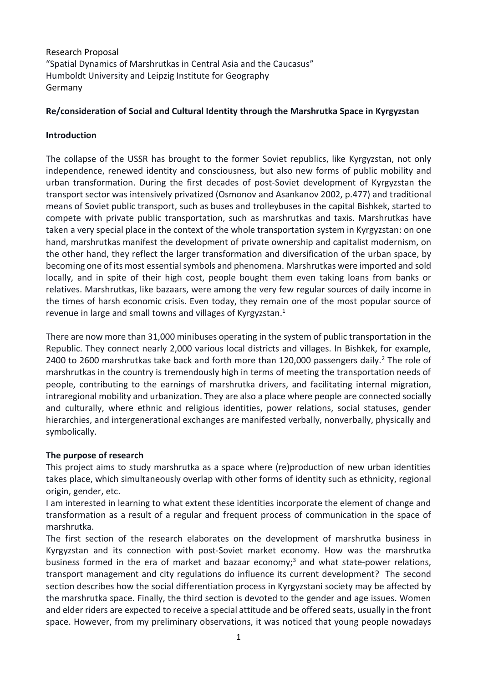Research Proposal "Spatial Dynamics of Marshrutkas in Central Asia and the Caucasus" Humboldt University and Leipzig Institute for Geography Germany

# **Re/consideration of Social and Cultural Identity through the Marshrutka Space in Kyrgyzstan**

# **Introduction**

The collapse of the USSR has brought to the former Soviet republics, like Kyrgyzstan, not only independence, renewed identity and consciousness, but also new forms of public mobility and urban transformation. During the first decades of post-Soviet development of Kyrgyzstan the transport sector was intensively privatized (Osmonov and Asankanov 2002, p.477) and traditional means of Soviet public transport, such as buses and trolleybuses in the capital Bishkek, started to compete with private public transportation, such as marshrutkas and taxis. Marshrutkas have taken a very special place in the context of the whole transportation system in Kyrgyzstan: on one hand, marshrutkas manifest the development of private ownership and capitalist modernism, on the other hand, they reflect the larger transformation and diversification of the urban space, by becoming one of its most essential symbols and phenomena. Marshrutkas were imported and sold locally, and in spite of their high cost, people bought them even taking loans from banks or relatives. Marshrutkas, like bazaars, were among the very few regular sources of daily income in the times of harsh economic crisis. Even today, they remain one of the most popular source of revenue in large and small towns and villages of Kyrgyzstan.<sup>1</sup>

There are now more than 31,000 minibuses operating in the system of public transportation in the Republic. They connect nearly 2,000 various local districts and villages. In Bishkek, for example, 2400 to 2600 marshrutkas take back and forth more than 120,000 passengers daily.<sup>2</sup> The role of marshrutkas in the country is tremendously high in terms of meeting the transportation needs of people, contributing to the earnings of marshrutka drivers, and facilitating internal migration, intraregional mobility and urbanization. They are also a place where people are connected socially and culturally, where ethnic and religious identities, power relations, social statuses, gender hierarchies, and intergenerational exchanges are manifested verbally, nonverbally, physically and symbolically.

# **The purpose of research**

This project aims to study marshrutka as a space where (re)production of new urban identities takes place, which simultaneously overlap with other forms of identity such as ethnicity, regional origin, gender, etc.

I am interested in learning to what extent these identities incorporate the element of change and transformation as a result of a regular and frequent process of communication in the space of marshrutka.

The first section of the research elaborates on the development of marshrutka business in Kyrgyzstan and its connection with post-Soviet market economy. How was the marshrutka business formed in the era of market and bazaar economy; <sup>3</sup> and what state-power relations, transport management and city regulations do influence its current development? The second section describes how the social differentiation process in Kyrgyzstani society may be affected by the marshrutka space. Finally, the third section is devoted to the gender and age issues. Women and elder riders are expected to receive a special attitude and be offered seats, usually in the front space. However, from my preliminary observations, it was noticed that young people nowadays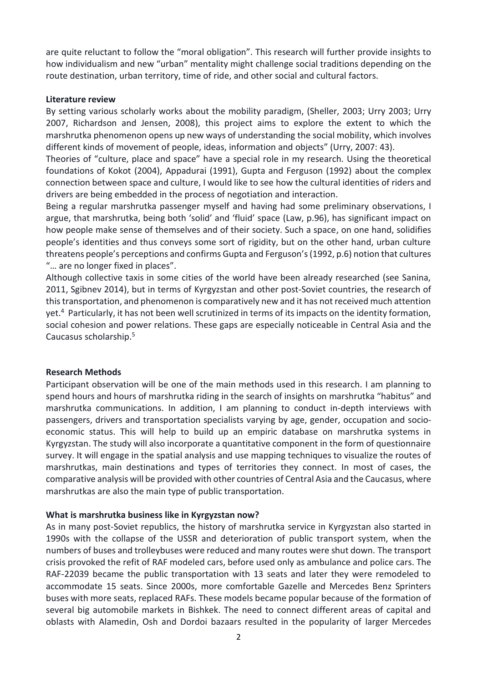are quite reluctant to follow the "moral obligation". This research will further provide insights to how individualism and new "urban" mentality might challenge social traditions depending on the route destination, urban territory, time of ride, and other social and cultural factors.

#### **Literature review**

By setting various scholarly works about the mobility paradigm, (Sheller, 2003; Urry 2003; Urry 2007, Richardson and Jensen, 2008), this project aims to explore the extent to which the marshrutka phenomenon opens up new ways of understanding the social mobility, which involves different kinds of movement of people, ideas, information and objects" (Urry, 2007: 43).

Theories of "culture, place and space" have a special role in my research. Using the theoretical foundations of Kokot (2004), Appadurai (1991), Gupta and Ferguson (1992) about the complex connection between space and culture, I would like to see how the cultural identities of riders and drivers are being embedded in the process of negotiation and interaction.

Being a regular marshrutka passenger myself and having had some preliminary observations, I argue, that marshrutka, being both 'solid' and 'fluid' space (Law, p.96), has significant impact on how people make sense of themselves and of their society. Such a space, on one hand, solidifies people's identities and thus conveys some sort of rigidity, but on the other hand, urban culture threatens people's perceptions and confirms Gupta and Ferguson's (1992, p.6) notion that cultures "… are no longer fixed in places".

Although collective taxis in some cities of the world have been already researched (see Sanina, 2011, Sgibnev 2014), but in terms of Kyrgyzstan and other post-Soviet countries, the research of this transportation, and phenomenon is comparatively new and it has not received much attention yet. 4 Particularly, it has not been well scrutinized in terms of its impacts on the identity formation, social cohesion and power relations. These gaps are especially noticeable in Central Asia and the Caucasus scholarship. 5

### **Research Methods**

Participant observation will be one of the main methods used in this research. I am planning to spend hours and hours of marshrutka riding in the search of insights on marshrutka "habitus" and marshrutka communications. In addition, I am planning to conduct in-depth interviews with passengers, drivers and transportation specialists varying by age, gender, occupation and socioeconomic status. This will help to build up an empiric database on marshrutka systems in Kyrgyzstan. The study will also incorporate a quantitative component in the form of questionnaire survey. It will engage in the spatial analysis and use mapping techniques to visualize the routes of marshrutkas, main destinations and types of territories they connect. In most of cases, the comparative analysis will be provided with other countries of Central Asia and the Caucasus, where marshrutkas are also the main type of public transportation.

### **What is marshrutka business like in Kyrgyzstan now?**

As in many post-Soviet republics, the history of marshrutka service in Kyrgyzstan also started in 1990s with the collapse of the USSR and deterioration of public transport system, when the numbers of buses and trolleybuses were reduced and many routes were shut down. The transport crisis provoked the refit of RAF modeled cars, before used only as ambulance and police cars. The RAF-22039 became the public transportation with 13 seats and later they were remodeled to accommodate 15 seats. Since 2000s, more comfortable Gazelle and Mercedes Benz Sprinters buses with more seats, replaced RAFs. These models became popular because of the formation of several big automobile markets in Bishkek. The need to connect different areas of capital and oblasts with Alamedin, Osh and Dordoi bazaars resulted in the popularity of larger Mercedes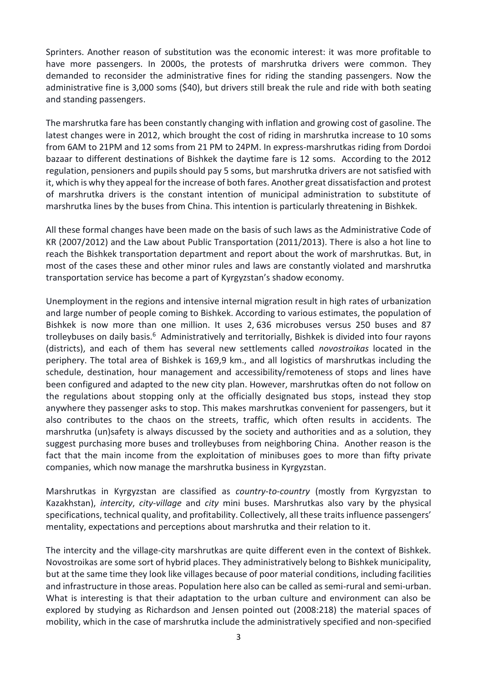Sprinters. Another reason of substitution was the economic interest: it was more profitable to have more passengers. In 2000s, the protests of marshrutka drivers were common. They demanded to reconsider the administrative fines for riding the standing passengers. Now the administrative fine is 3,000 soms (\$40), but drivers still break the rule and ride with both seating and standing passengers.

The marshrutka fare has been constantly changing with inflation and growing cost of gasoline. The latest changes were in 2012, which brought the cost of riding in marshrutka increase to 10 soms from 6AM to 21PM and 12 soms from 21 PM to 24PM. In express-marshrutkas riding from Dordoi bazaar to different destinations of Bishkek the daytime fare is 12 soms. According to the 2012 regulation, pensioners and pupils should pay 5 soms, but marshrutka drivers are not satisfied with it, which is why they appeal for the increase of both fares. Another great dissatisfaction and protest of marshrutka drivers is the constant intention of municipal administration to substitute of marshrutka lines by the buses from China. This intention is particularly threatening in Bishkek.

All these formal changes have been made on the basis of such laws as the Administrative Code of KR (2007/2012) and the Law about Public Transportation (2011/2013). There is also a hot line to reach the Bishkek transportation department and report about the work of marshrutkas. But, in most of the cases these and other minor rules and laws are constantly violated and marshrutka transportation service has become a part of Kyrgyzstan's shadow economy.

Unemployment in the regions and intensive internal migration result in high rates of urbanization and large number of people coming to Bishkek. According to various estimates, the population of Bishkek is now more than one million. It uses 2, 636 microbuses versus 250 buses and 87 trolleybuses on daily basis.<sup>6</sup> Administratively and territorially, Bishkek is divided into four rayons (districts), and each of them has several new settlements called *novostroikas* located in the periphery. The total area of Bishkek is 169,9 km., and all logistics of marshrutkas including the schedule, destination, hour management and accessibility/remoteness of stops and lines have been configured and adapted to the new city plan. However, marshrutkas often do not follow on the regulations about stopping only at the officially designated bus stops, instead they stop anywhere they passenger asks to stop. This makes marshrutkas convenient for passengers, but it also contributes to the chaos on the streets, traffic, which often results in accidents. The marshrutka (un)safety is always discussed by the society and authorities and as a solution, they suggest purchasing more buses and trolleybuses from neighboring China. Another reason is the fact that the main income from the exploitation of minibuses goes to more than fifty private companies, which now manage the marshrutka business in Kyrgyzstan.

Marshrutkas in Kyrgyzstan are classified as *country-to-country* (mostly from Kyrgyzstan to Kazakhstan), *intercity*, *city-village* and *city* mini buses. Marshrutkas also vary by the physical specifications, technical quality, and profitability. Collectively, all these traits influence passengers' mentality, expectations and perceptions about marshrutka and their relation to it.

The intercity and the village-city marshrutkas are quite different even in the context of Bishkek. Novostroikas are some sort of hybrid places. They administratively belong to Bishkek municipality, but at the same time they look like villages because of poor material conditions, including facilities and infrastructure in those areas. Population here also can be called as semi-rural and semi-urban. What is interesting is that their adaptation to the urban culture and environment can also be explored by studying as Richardson and Jensen pointed out (2008:218) the material spaces of mobility, which in the case of marshrutka include the administratively specified and non-specified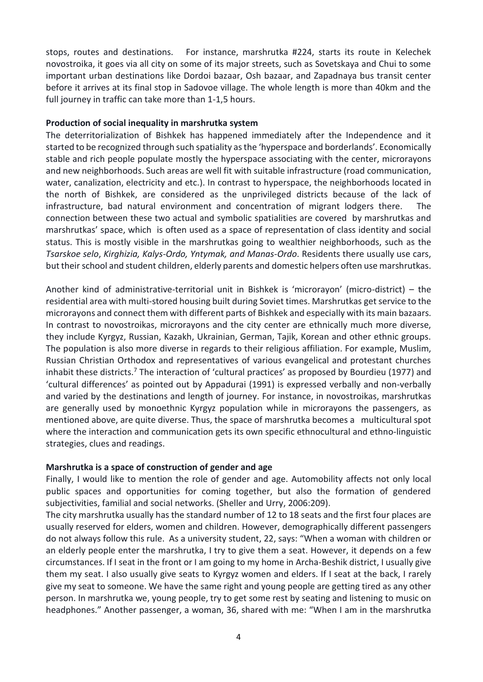stops, routes and destinations. For instance, marshrutka #224, starts its route in Kelechek novostroika, it goes via all city on some of its major streets, such as Sovetskaya and Chui to some important urban destinations like Dordoi bazaar, Osh bazaar, and Zapadnaya bus transit center before it arrives at its final stop in Sadovoe village. The whole length is more than 40km and the full journey in traffic can take more than 1-1,5 hours.

#### **Production of social inequality in marshrutka system**

The deterritorialization of Bishkek has happened immediately after the Independence and it started to be recognized through such spatiality as the 'hyperspace and borderlands'. Economically stable and rich people populate mostly the hyperspace associating with the center, microrayons and new neighborhoods. Such areas are well fit with suitable infrastructure (road communication, water, canalization, electricity and etc.). In contrast to hyperspace, the neighborhoods located in the north of Bishkek, are considered as the unprivileged districts because of the lack of infrastructure, bad natural environment and concentration of migrant lodgers there. The connection between these two actual and symbolic spatialities are covered by marshrutkas and marshrutkas' space, which is often used as a space of representation of class identity and social status. This is mostly visible in the marshrutkas going to wealthier neighborhoods, such as the *Tsarskoe selo*, *Kirghizia, Kalys-Ordo, Yntymak, and Manas-Ordo*. Residents there usually use cars, but their school and student children, elderly parents and domestic helpers often use marshrutkas.

Another kind of administrative-territorial unit in Bishkek is 'microrayon' (micro-district) – the residential area with multi-stored housing built during Soviet times. Marshrutkas get service to the microrayons and connect them with different parts of Bishkek and especially with its main bazaars. In contrast to novostroikas, microrayons and the city center are ethnically much more diverse, they include Kyrgyz, Russian, Kazakh, Ukrainian, German, Tajik, Korean and other ethnic groups. The population is also more diverse in regards to their religious affiliation. For example, Muslim, Russian Christian Orthodox and representatives of various evangelical and protestant churches inhabit these districts.<sup>7</sup> The interaction of 'cultural practices' as proposed by Bourdieu (1977) and 'cultural differences' as pointed out by Appadurai (1991) is expressed verbally and non-verbally and varied by the destinations and length of journey. For instance, in novostroikas, marshrutkas are generally used by monoethnic Kyrgyz population while in microrayons the passengers, as mentioned above, are quite diverse. Thus, the space of marshrutka becomes a multicultural spot where the interaction and communication gets its own specific ethnocultural and ethno-linguistic strategies, clues and readings.

### **Marshrutka is a space of construction of gender and age**

Finally, I would like to mention the role of gender and age. Automobility affects not only local public spaces and opportunities for coming together, but also the formation of gendered subjectivities, familial and social networks. (Sheller and Urry, 2006:209).

The city marshrutka usually has the standard number of 12 to 18 seats and the first four places are usually reserved for elders, women and children. However, demographically different passengers do not always follow this rule. As a university student, 22, says: "When a woman with children or an elderly people enter the marshrutka, I try to give them a seat. However, it depends on a few circumstances. If I seat in the front or I am going to my home in Archa-Beshik district, I usually give them my seat. I also usually give seats to Kyrgyz women and elders. If I seat at the back, I rarely give my seat to someone. We have the same right and young people are getting tired as any other person. In marshrutka we, young people, try to get some rest by seating and listening to music on headphones." Another passenger, a woman, 36, shared with me: "When I am in the marshrutka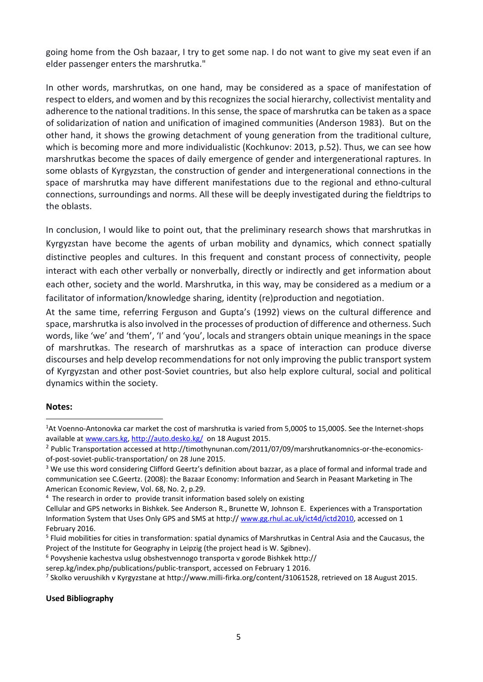going home from the Osh bazaar, I try to get some nap. I do not want to give my seat even if an elder passenger enters the marshrutka."

In other words, marshrutkas, on one hand, may be considered as a space of manifestation of respect to elders, and women and by this recognizes the social hierarchy, collectivist mentality and adherence to the national traditions. In this sense, the space of marshrutka can be taken as a space of solidarization of nation and unification of imagined communities (Anderson 1983). But on the other hand, it shows the growing detachment of young generation from the traditional culture, which is becoming more and more individualistic (Kochkunov: 2013, p.52). Thus, we can see how marshrutkas become the spaces of daily emergence of gender and intergenerational raptures. In some oblasts of Kyrgyzstan, the construction of gender and intergenerational connections in the space of marshrutka may have different manifestations due to the regional and ethno-cultural connections, surroundings and norms. All these will be deeply investigated during the fieldtrips to the oblasts.

In conclusion, I would like to point out, that the preliminary research shows that marshrutkas in Kyrgyzstan have become the agents of urban mobility and dynamics, which connect spatially distinctive peoples and cultures. In this frequent and constant process of connectivity, people interact with each other verbally or nonverbally, directly or indirectly and get information about each other, society and the world. Marshrutka, in this way, may be considered as a medium or a facilitator of information/knowledge sharing, identity (re)production and negotiation.

At the same time, referring Ferguson and Gupta's (1992) views on the cultural difference and space, marshrutka is also involved in the processes of production of difference and otherness. Such words, like 'we' and 'them', 'I' and 'you', locals and strangers obtain unique meanings in the space of marshrutkas. The research of marshrutkas as a space of interaction can produce diverse discourses and help develop recommendations for not only improving the public transport system of Kyrgyzstan and other post-Soviet countries, but also help explore cultural, social and political dynamics within the society.

### **Notes:**

**.** 

#### **Used Bibliography**

<sup>1</sup>At Voenno-Antonovka car market the cost of marshrutka is varied from 5,000\$ to 15,000\$. See the Internet-shops available at [www.cars.kg,](http://www.cars.kg/)<http://auto.desko.kg/>on 18 August 2015.

<sup>&</sup>lt;sup>2</sup> Public Transportation accessed at http://timothynunan.com/2011/07/09/marshrutkanomnics-or-the-economicsof-post-soviet-public-transportation/ on 28 June 2015.

<sup>&</sup>lt;sup>3</sup> We use this word considering Clifford Geertz's definition about bazzar, as a place of formal and informal trade and communication see C.Geertz. (2008): the Bazaar Economy: Information and Search in Peasant Marketing in The American Economic Review, Vol. 68, No. 2, p.29.

<sup>&</sup>lt;sup>4</sup> The research in order to provide transit information based solely on existing

Cellular and GPS networks in Bishkek. See Anderson R., Brunette W, Johnson E. Experiences with a Transportation Information System that Uses Only GPS and SMS at http:// [www.gg.rhul.ac.uk/ict4d/ictd2010,](http://www.gg.rhul.ac.uk/ict4d/ictd2010) accessed on 1 February 2016.

<sup>5</sup> Fluid mobilities for cities in transformation: spatial dynamics of Marshrutkas in Central Asia and the Caucasus, the Project of the Institute for Geography in Leipzig (the project head is W. Sgibnev).

<sup>6</sup> Povyshenie kachestva uslug obshestvennogo transporta v gorode Bishkek http://

serep.kg/index.php/publications/public-transport, accessed on February 1 2016.

<sup>&</sup>lt;sup>7</sup> Skolko veruushikh v Kyrgyzstane at http://www.milli-firka.org/content/31061528, retrieved on 18 August 2015.